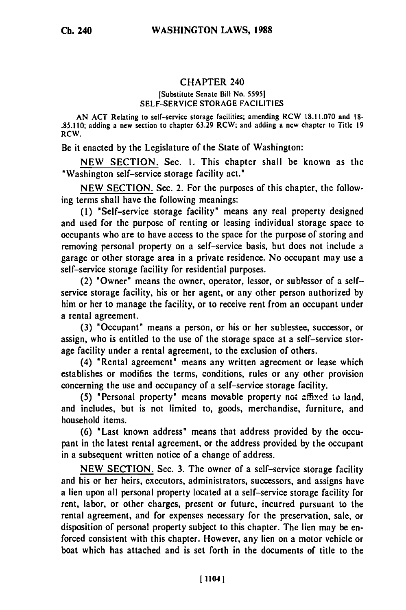## CHAPTER 240

## [Substitute Senate Bill No. 55951 **SELF-SERVICE** STORAGE **FACILITIES**

**AN ACT** Relating to self-service storage facilities; amending RCW **18.11.070** and **18- .85.110;** adding a new section to chapter **63.29** RCW; and adding a new chapter to Title **19** RCW.

Be it enacted by the Legislature of the State of Washington:

NEW SECTION. Sec. **1.** This chapter shall be known as the "Washington self-service storage facility act."

NEW SECTION. Sec. 2. For the purposes of this chapter, the following terms shall have the following meanings:

**(1)** 'Self-service storage facility" means any real property designed and used for the purpose of renting or leasing individual storage space to occupants who are to have access to the space for the purpose of storing and removing personal property on a self-service basis, but does not include a garage or other storage area in a private residence. No occupant may use a self-service storage facility for residential purposes.

(2) "Owner' means the owner, operator, lessor, or sublessor of a selfservice storage facility, his or her agent, or any other person authorized by him or her to manage the facility, or to receive rent from an occupant under a rental agreement.

(3) 'Occupant" means a person, or his or her sublessee, successor, or assign, who is entitled to the use of the storage space at a self-service storage facility under a rental agreement, to the exclusion of others.

(4) "Rental agreement' means any written agreement or lease which establishes or modifies the terms, conditions, rules or any other provision concerning the use and occupancy of a self-service storage facility.

(5) "Personal property" means movable property not **amfied to** land, and includes, but is not limited to, goods, merchandise, furniture, and household items.

(6) 'Last known address" means that address provided by the occupant in the latest rental agreement, or the address provided by the occupant in a subsequent written notice of a change of address.

NEW SECTION. Sec. 3. The owner of a self-service storage facility and his or her heirs, executors, administrators, successors, and assigns have a lien upon all personal property located at a self-service storage facility for rent, labor, or other charges, present or future, incurred pursuant to the rental agreement, and for expenses necessary for the preservation, sale, or disposition of personal property subject to this chapter. The lien may be enforced consistent with this chapter. However, any lien on a motor vehicle or boat which has attached and is set forth in the documents of title to the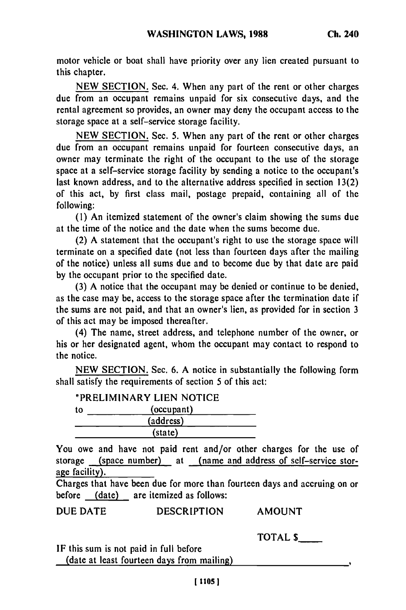motor vehicle or boat shall have priority over any lien created pursuant to this chapter.

**NEW SECTION.** Sec. 4. When any part of the rent or other charges due from an occupant remains unpaid for six consecutive days, and the rental agreement so provides, an owner may deny the occupant access to the storage space at a self-service storage facility.

**NEW SECTION.** Sec. **5.** When any part of the rent or other charges due from an occupant remains unpaid for fourteen consecutive days, an owner may terminate the right of the occupant to the use of the storage space at a self-service storage facility **by** sending a notice to the occupant's last known address, and to the alternative address specified in section **13(2)** of this act, **by** first class mail, postage prepaid, containing all of the following:

**(1)** An itemized statement of the owner's claim showing the sums due at the time of the notice and the date when the sums become due.

(2) **A** statement that the occupant's right to use the storage space will terminate on a specified date (not less than fourteen days after the mailing of the notice) unless all sums due and to become due **by** that date are paid **by** the occupant prior to the specified date.

**(3) A** notice that the occupant may be denied or continue to **be** denied, as the case may be, access to the storage space after the termination date if the sums are not paid, and that an owner's lien, as provided for in section **3** of this act may be imposed thereafter.

(4) The name, street address, and telephone number of the owner, or his or her designated agent, whom the occupant may contact to respond to the notice.

**NEW SECTION.** Sec. **6. A** notice in substantially the following form shall satisfy the requirements of section **5** of this act:

"PRELIMINARY **LIEN NOTICE** to (occupant) (address) (state)

You owe and have not paid rent and/or other charges for the use of storage (space number) at (name and address of self-service storage facility).

Charges that have been due for more than fourteen days and accruing on or before (date) are itemized as follows:

**DUE DATE DESCRIPTION AMOUNT**

TOTAL **\$**

IF this sum is not paid in full before (date at least fourteen days from mailing)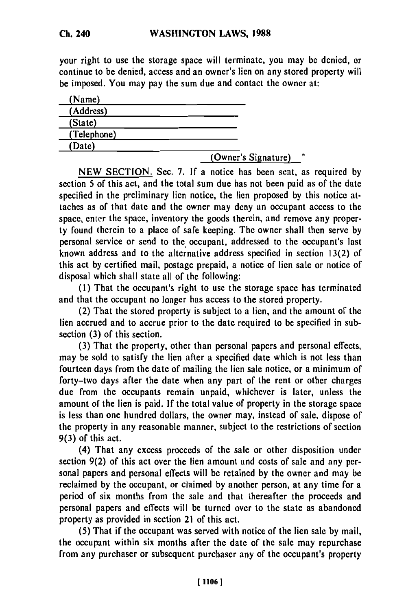## **WASHINGTON LAWS, 1988**

your right to use the storage space will terminate, you may be denied, or continue to be denied, access and an owner's lien on any stored property will be imposed. You may pay the sum due and contact the owner at:

| (Name)      |                     |
|-------------|---------------------|
| (Address)   |                     |
| (State)     |                     |
| (Telephone) |                     |
| (Date)      |                     |
|             | (Owner's Signature) |

**NEW SECTION.** Sec. **7. If** a notice has been sent, as required **by** section **5** of this act, and the total sum due has not been paid as of the date specified in the preliminary lien notice, the lien proposed **by** this notice attaches as of that date and the owner may deny an occupant access to the space, enter the space, inventory the goods therein, and remove any property found therein to a place of safe keeping. The owner shall then serve **by** personal service or send to the occupant, addressed to the occupant's last known address and to the alternative address specified in section **13(2)** of this act **by** certified mail, postage prepaid, a notice of lien sale or notice of disposal which shall state all of the following:

**(1)** That the occupant's right to use the storage space has terminated and that the occupant no longer has access to the stored property.

(2) That the stored property is subject to a lien, and the amount of the lien accrued and to accrue prior to the date required to be specified in subsection **(3)** of this section.

**(3)** That the property, other than personal papers and personal effects, may be sold to satisfy the lien after a specified date which is not less than fourteen days from the date of mailing the lien sale notice, or a minimum of forty-two days after the date when any part of the rent or other charges due from the occupants remain unpaid, whichever is later, unless the amount of the lien is paid. **If** the total value of property in the storage space is less than one hundred dollars, the owner may, instead of sale, dispose of the property in any reasonable manner, subject to the restrictions of section **9(3)** of this act.

(4) That any excess proceeds of the sale or other disposition under section **9(2)** of this act over the lien amount and costs of sale and any personal papers and personal effects will be retained **by** the owner and may be reclaimed **by** the occupant, or claimed **by** another person, at any time for a period of six months from the sale and that thereafter the proceeds and personal papers and effects will be turned over to the state as abandoned property as provided in section 21 of this act.

**(5)** That if the occupant was served with notice of the lien sale **by** mail, the occupant within six months after the date of the sale may repurchase from any purchaser or subsequent purchaser any of the occupant's property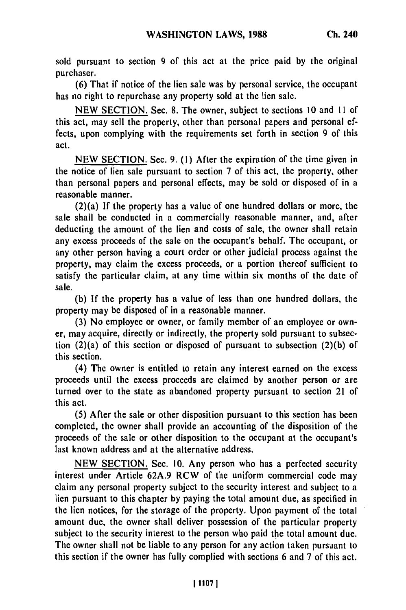sold pursuant to section 9 of this act at the price paid **by** the original purchaser.

**(6)** That if notice of the lien sale was **by** personal service, the occupant has no right to repurchase any property sold at the lien sale.

**NEW SECTION.** Sec. **8.** The owner, subject to sections **10** and **II** of this act, may sell the property, other than personal papers and personal effects, upon complying with the requirements set forth in section **9** of this act.

**NEW SECTION.** Sec. **9. (1)** After the expiration of the time given in the notice of lien sale pursuant to section **7** of this act, the property, other than personal papers and personal effects, may be sold or disposed of in a reasonable manner.

(2)(a) If the property has a value of one hundred dollars or more, the sale shall be conducted in a commercially reasonable manner, and, after deducting the amount of the lien and costs of sale, the owner shall retain any excess proceeds of the sale on the occupant's behalf. The occupant, or any other person having a court order or other judicial process against the property, may claim the excess proceeds, or a portion thereof sufficient to satisfy the particular claim, at any time within six months of the date of sale.

**(b) If** the property has a value of less than one hundred dollars, the property may be disposed of in a reasonable manner.

**(3)** No employee or owner, or family member of an employee or owner, may acquire, directly or indirectly, the property sold pursuant to subsection (2)(a) of this section or disposed of pursuant to subsection **(2)(b)** of this section.

(4) The owner is entitled to retain any interest earned on the excess proceeds until the excess proceeds are claimed **by** another person or are turned over to the state as abandoned property pursuant to section 21 of this act.

**(5)** After the sale or other disposition pursuant to this section has been completed, the owner shall provide an accounting of the disposition of the proceeds of the sale or other disposition to the occupant at the occupant's last known address and at the alternative address.

**NEW SECTION.** Sec. **10.** Any person who has a perfected security interest under Article **62A.9** RCW of the uniform commercial code may claim any personal property subject to the security interest and subject to a lien pursuant to this chapter **by** paying the total amount due, as specified in the lien notices, for the storage of the property. Upon payment of the total amount due, the owner shall deliver possession of the particular property subject to the security interest to the person who paid the total amount due. The owner shall not be liable to any person for any action taken pursuant to this section if the owner has fully complied with sections **6** and **7** of this act.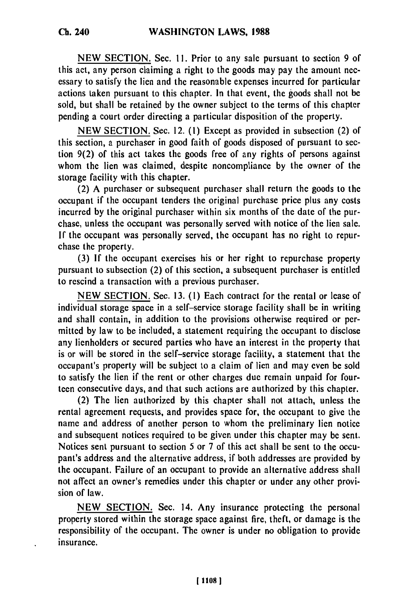NEW SECTION. Sec. **11.** Prior to any sale pursuant to section 9 of this act, any person claiming a right to the goods may pay the amount necessary to satisfy the lien and the reasonable expenses incurred for particular actions taken pursuant to this chapter. In that event, the goods shall not be sold, but shall be retained by the owner subject to the terms of this chapter pending a court order directing a particular disposition of the property.

NEW SECTION. Sec. 12. (1) Except as provided in subsection (2) of this section, a purchaser in good faith of goods disposed of pursuant to section 9(2) of this act takes the goods free of any rights of persons against whom the lien was claimed, despite noncompliance by the owner of the storage facility with this chapter.

(2) A purchaser or subsequent purchaser shall return the goods to the occupant if the occupant tenders the original purchase price plus any costs incurred by the original purchaser within six months of the date of the purchase, unless the occupant was personally served with notice of the lien sale. If the occupant was personally served, the occupant has no right to repurchase the property.

(3) If the occupant exercises his or her right to repurchase property pursuant to subsection (2) of this section, a subsequent purchaser is entitled to rescind a transaction with a previous purchaser.

NEW SECTION. Sec. 13. (1) Each contract for the rental or lease of individual storage space in a self-service storage facility shall be in writing and shall contain, in addition to the provisions otherwise required or permitted by law to be included, a statement requiring the occupant to disclose any lienholders or secured parties who have an interest in the property that is or will be stored in the self-service storage facility, a statement that the occupant's property will be subject to a claim of lien and may even be sold to satisfy the lien if the rent or other charges due remain unpaid for fourteen consecutive days, and that such actions are authorized by this chapter.

(2) The lien authorized by this chapter shall not attach, unless the rental agreement requests, and provides space for, the occupant to give the name and address of another person to whom the preliminary lien notice and subsequent notices required to be given under this chapter may be sent. Notices sent pursuant to section 5 or 7 of this act shall be sent to the occupant's address and the alternative address, if both addresses are provided by the occupant. Failure of an occupant to provide an alternative address shall not affect an owner's remedies under this chapter or under any other provision of law.

NEW SECTION. Sec. 14. Any insurance protecting the personal property stored within the storage space against fire, theft, or damage is the responsibility of the occupant. The owner is under no obligation to provide insurance.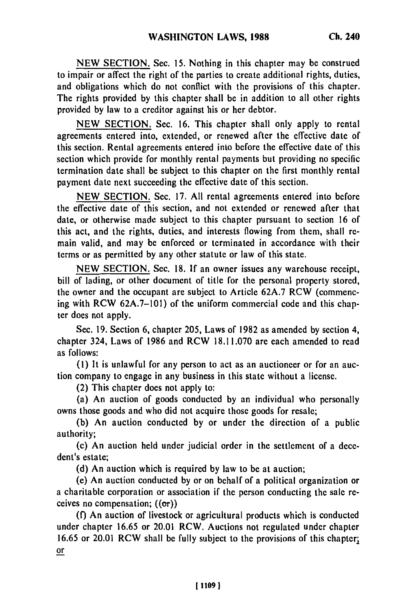NEW SECTION. Sec. 15. Nothing in this chapter may be construed to impair or affect the right of the parties to create additional rights, duties, and obligations which do not conflict with the provisions of this chapter. The rights provided by this chapter shall be in addition to all other rights provided by law to a creditor against his or her debtor.

NEW SECTION. Sec. 16. This chapter shall only apply to rental agreements entered into, extended, or renewed after the effective date of this section. Rental agreements entered into before the effective date of this section which provide for monthly rental payments but providing no specific termination date shall be subject to this chapter on the first monthly rental payment date next succeeding the effective date of this section.

NEW SECTION. Sec. 17. All rental agreements entered into before the effective date of this section, and not extended or renewed after that date, or otherwise made subject to this chapter pursuant to section 16 of this act, and the rights, duties, and interests flowing from them, shall remain valid, and may be enforced or terminated in accordance with their terms or as permitted by any other statute or law of this state.

NEW SECTION. Sec. 18. If an owner issues any warehouse receipt, bill of lading, or other document of title for the personal property stored, the owner and the occupant are subject to Article 62A.7 RCW (commencing with RCW 62A.7-101) of the uniform commercial code and this chapter does not apply.

Sec. 19. Section 6, chapter 205, Laws of 1982 as amended by section 4, chapter 324, Laws of 1986 and RCW 18.11.070 are each amended to read as follows:

**(1)** It is unlawful for any person to act as an auctioneer or for an auction company to engage in any business in this state without a license.

(2) This chapter does not apply to:

(a) An auction of goods conducted by an individual who personally owns those goods and who did not acquire those goods for resale;

(b) An auction conducted by or under the direction of a public authority;

(c) An auction held under judicial order in the settlement of a decedent's estate;

(d) An auction which is required by law to be at auction;

(e) An auction conducted by or on behalf of a political organization or a charitable corporation or association if the person conducting the sale receives no compensation;  $((\sigma r))$ 

**(0** An auction of livestock or agricultural products which is conducted under chapter 16.65 or 20.01 RCW. Auctions not regulated under chapter 16.65 or 20.01 RCW shall be fully subject to the provisions of this chapter; or